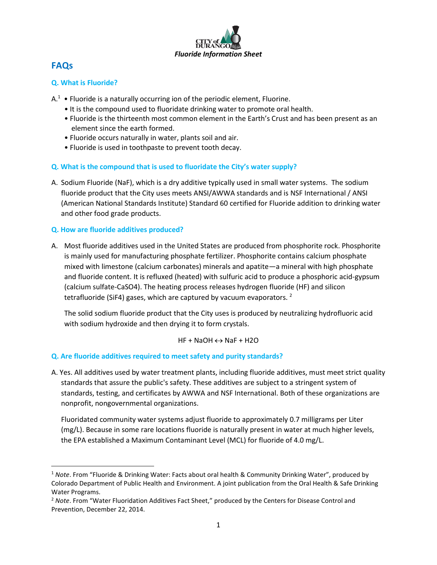

# **FAQs**

l

# **Q. What is Fluoride?**

- A.<sup>1</sup> Fluoride is a naturally occurring ion of the periodic element, Fluorine.
	- It is the compound used to fluoridate drinking water to promote oral health.
	- Fluoride is the thirteenth most common element in the Earth's Crust and has been present as an element since the earth formed.
	- Fluoride occurs naturally in water, plants soil and air.
	- Fluoride is used in toothpaste to prevent tooth decay.

## **Q. What is the compound that is used to fluoridate the City's water supply?**

A. Sodium Fluoride (NaF), which is a dry additive typically used in small water systems. The sodium fluoride product that the City uses meets ANSI/AWWA standards and is NSF International / ANSI (American National Standards Institute) Standard 60 certified for Fluoride addition to drinking water and other food grade products.

## **Q. How are fluoride additives produced?**

A. Most fluoride additives used in the United States are produced from phosphorite rock. Phosphorite is mainly used for manufacturing phosphate fertilizer. Phosphorite contains calcium phosphate mixed with limestone (calcium carbonates) minerals and apatite—a mineral with high phosphate and fluoride content. It is refluxed (heated) with sulfuric acid to produce a phosphoric acid-gypsum (calcium sulfate-CaSO4). The heating process releases hydrogen fluoride (HF) and silicon tetrafluoride (SiF4) gases, which are captured by vacuum evaporators.<sup>2</sup>

The solid sodium fluoride product that the City uses is produced by neutralizing hydrofluoric acid with sodium hydroxide and then drying it to form crystals.

 $HF + NaOH \leftrightarrow NaF + H2O$ 

#### **Q. Are fluoride additives required to meet safety and purity standards?**

A. Yes. All additives used by water treatment plants, including fluoride additives, must meet strict quality standards that assure the public's safety. These additives are subject to a stringent system of standards, testing, and certificates by AWWA and NSF International. Both of these organizations are nonprofit, nongovernmental organizations.

Fluoridated community water systems adjust fluoride to approximately 0.7 milligrams per Liter (mg/L). Because in some rare locations fluoride is naturally present in water at much higher levels, the EPA established a Maximum Contaminant Level (MCL) for fluoride of 4.0 mg/L.

<sup>1</sup> *Note*. From "Fluoride & Drinking Water: Facts about oral health & Community Drinking Water", produced by Colorado Department of Public Health and Environment. A joint publication from the Oral Health & Safe Drinking Water Programs.

<sup>&</sup>lt;sup>2</sup> Note. From "Water Fluoridation Additives Fact Sheet," produced by the Centers for Disease Control and Prevention, December 22, 2014.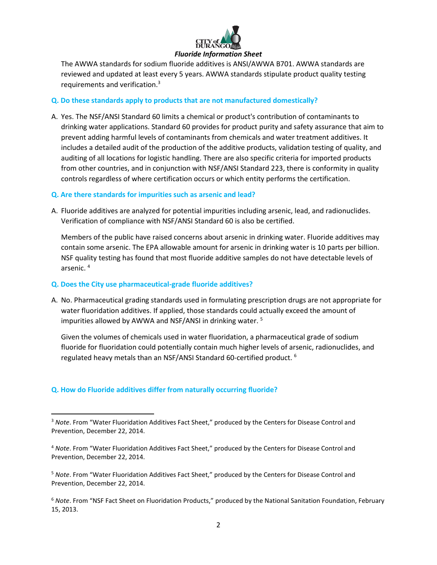

The AWWA standards for sodium fluoride additives is ANSI/AWWA B701. AWWA standards are reviewed and updated at least every 5 years. AWWA standards stipulate product quality testing requirements and verification.<sup>3</sup>

#### **Q. Do these standards apply to products that are not manufactured domestically?**

A. Yes. The NSF/ANSI Standard 60 limits a chemical or product's contribution of contaminants to drinking water applications. Standard 60 provides for product purity and safety assurance that aim to prevent adding harmful levels of contaminants from chemicals and water treatment additives. It includes a detailed audit of the production of the additive products, validation testing of quality, and auditing of all locations for logistic handling. There are also specific criteria for imported products from other countries, and in conjunction with NSF/ANSI Standard 223, there is conformity in quality controls regardless of where certification occurs or which entity performs the certification.

#### **Q. Are there standards for impurities such as arsenic and lead?**

A. Fluoride additives are analyzed for potential impurities including arsenic, lead, and radionuclides. Verification of compliance with NSF/ANSI Standard 60 is also be certified.

Members of the public have raised concerns about arsenic in drinking water. Fluoride additives may contain some arsenic. The EPA allowable amount for arsenic in drinking water is 10 parts per billion. NSF quality testing has found that most fluoride additive samples do not have detectable levels of arsenic. 4

#### **Q. Does the City use pharmaceutical-grade fluoride additives?**

A. No. Pharmaceutical grading standards used in formulating prescription drugs are not appropriate for water fluoridation additives. If applied, those standards could actually exceed the amount of impurities allowed by AWWA and NSF/ANSI in drinking water. <sup>5</sup>

Given the volumes of chemicals used in water fluoridation, a pharmaceutical grade of sodium fluoride for fluoridation could potentially contain much higher levels of arsenic, radionuclides, and regulated heavy metals than an NSF/ANSI Standard 60-certified product. <sup>6</sup>

#### **Q. How do Fluoride additives differ from naturally occurring fluoride?**

 $\overline{a}$ 

<sup>5</sup> *Note*. From "Water Fluoridation Additives Fact Sheet," produced by the Centers for Disease Control and Prevention, December 22, 2014.

<sup>6</sup> *Note*. From "NSF Fact Sheet on Fluoridation Products," produced by the National Sanitation Foundation, February 15, 2013.

<sup>&</sup>lt;sup>3</sup> Note. From "Water Fluoridation Additives Fact Sheet," produced by the Centers for Disease Control and Prevention, December 22, 2014.

<sup>4</sup> *Note*. From "Water Fluoridation Additives Fact Sheet," produced by the Centers for Disease Control and Prevention, December 22, 2014.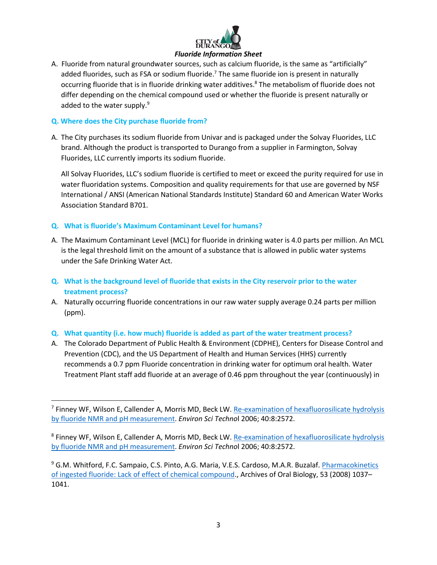

A. Fluoride from natural groundwater sources, such as calcium fluoride, is the same as "artificially" added fluorides, such as FSA or sodium fluoride.<sup>7</sup> The same fluoride ion is present in naturally occurring fluoride that is in fluoride drinking water additives.<sup>8</sup> The metabolism of fluoride does not differ depending on the chemical compound used or whether the fluoride is present naturally or added to the water supply. $9$ 

### **Q. Where does the City purchase fluoride from?**

 $\overline{\phantom{a}}$ 

A. The City purchases its sodium fluoride from Univar and is packaged under the Solvay Fluorides, LLC brand. Although the product is transported to Durango from a supplier in Farmington, Solvay Fluorides, LLC currently imports its sodium fluoride.

All Solvay Fluorides, LLC's sodium fluoride is certified to meet or exceed the purity required for use in water fluoridation systems. Composition and quality requirements for that use are governed by NSF International / ANSI (American National Standards Institute) Standard 60 and American Water Works Association Standard B701.

# **Q. What is fluoride's Maximum Contaminant Level for humans?**

- A. The Maximum Contaminant Level (MCL) for fluoride in drinking water is 4.0 parts per million. An MCL is the legal threshold limit on the amount of a substance that is allowed in public water systems under the Safe Drinking Water Act.
- **Q. What is the background level of fluoride that exists in the City reservoir prior to the water treatment process?**
- A. Naturally occurring fluoride concentrations in our raw water supply average 0.24 parts per million (ppm).

#### **Q. What quantity (i.e. how much) fluoride is added as part of the water treatment process?**

A. The Colorado Department of Public Health & Environment (CDPHE), Centers for Disease Control and Prevention (CDC), and the US Department of Health and Human Services (HHS) currently recommends a 0.7 ppm Fluoride concentration in drinking water for optimum oral health. Water Treatment Plant staff add fluoride at an average of 0.46 ppm throughout the year (continuously) in

<sup>&</sup>lt;sup>7</sup> Finney WF, Wilson E, Callender A, Morris MD, Beck LW. Re-examination of hexafluorosilicate hydrolysis [by fluoride NMR and pH measurement.](http://www.ncbi.nlm.nih.gov/pubmed/16683594) *Environ Sci Techno*l 2006; 40:8:2572.

<sup>&</sup>lt;sup>8</sup> Finney WF, Wilson E, Callender A, Morris MD, Beck LW. Re-examination of hexafluorosilicate hydrolysis [by fluoride NMR and pH measurement.](http://www.ncbi.nlm.nih.gov/pubmed/16683594) *Environ Sci Techno*l 2006; 40:8:2572.

<sup>9</sup> G.M. Whitford, F.C. Sampaio, C.S. Pinto, A.G. Maria, V.E.S. Cardoso, M.A.R. Buzalaf. [Pharmacokinetics](http://www.ncbi.nlm.nih.gov/pubmed/18514162)  [of ingested fluoride: Lack of effect of chemical compound.](http://www.ncbi.nlm.nih.gov/pubmed/18514162), Archives of Oral Biology, 53 (2008) 1037– 1041.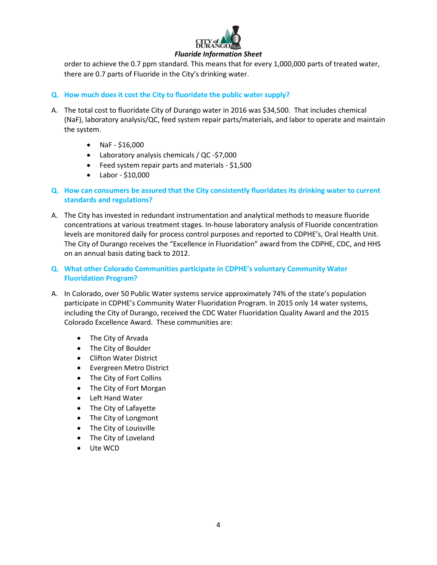

#### *Fluoride Information Sheet*

order to achieve the 0.7 ppm standard. This means that for every 1,000,000 parts of treated water, there are 0.7 parts of Fluoride in the City's drinking water.

# **Q. How much does it cost the City to fluoridate the public water supply?**

- A. The total cost to fluoridate City of Durango water in 2016 was \$34,500. That includes chemical (NaF), laboratory analysis/QC, feed system repair parts/materials, and labor to operate and maintain the system.
	- $\bullet$  NaF \$16,000
	- Laboratory analysis chemicals / QC -\$7,000
	- Feed system repair parts and materials \$1,500
	- $\bullet$  Labor \$10,000
- **Q. How can consumers be assured that the City consistently fluoridates its drinking water to current standards and regulations?**
- A. The City has invested in redundant instrumentation and analytical methods to measure fluoride concentrations at various treatment stages. In-house laboratory analysis of Fluoride concentration levels are monitored daily for process control purposes and reported to CDPHE's, Oral Health Unit. The City of Durango receives the "Excellence in Fluoridation" award from the CDPHE, CDC, and HHS on an annual basis dating back to 2012.
- **Q. What other Colorado Communities participate in CDPHE's voluntary Community Water Fluoridation Program?**
- A. In Colorado, over 50 Public Water systems service approximately 74% of the state's population participate in CDPHE's Community Water Fluoridation Program. In 2015 only 14 water systems, including the City of Durango, received the CDC Water Fluoridation Quality Award and the 2015 Colorado Excellence Award. These communities are:
	- The City of Arvada
	- The City of Boulder
	- Clifton Water District
	- Evergreen Metro District
	- The City of Fort Collins
	- The City of Fort Morgan
	- Left Hand Water
	- The City of Lafayette
	- The City of Longmont
	- The City of Louisville
	- The City of Loveland
	- Ute WCD